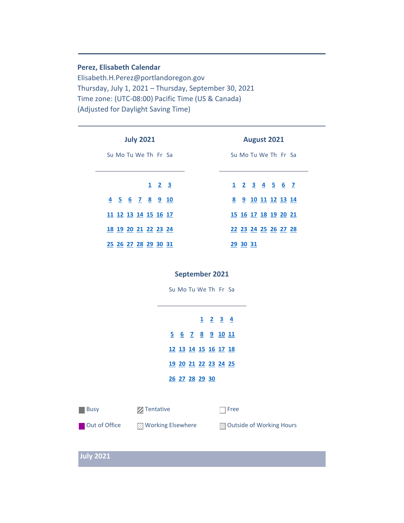#### **Perez, Elisabeth Calendar**

Elisabeth.H.Perez@portlandoregon.gov Thursday, July 1, 2021 – Thursday, September 30, 2021 Time zone: (UTC-08:00) Pacific Time (US & Canada) (Adjusted for Daylight Saving Time)

| <b>July 2021</b>            | <b>August 2021</b>          |
|-----------------------------|-----------------------------|
| Su Mo Tu We The Free Sa     | Su Mo Tu We The Free Sa     |
| $1 \quad 2 \quad 3$         | $1$ 2 3 4 5 6 7             |
| 4 5 6 7 8 9 10              | 8 9 10 11 12 13 14          |
| 11 12 13 14 15 16 17        | <u>15 16 17 18 19 20 21</u> |
| 18 19 20 21 22 23 24        | 22 23 24 25 26 27 28        |
| <u>25 26 27 28 29 30 31</u> | <u>29 30 31</u>             |

#### **September 2021**

Su Mo Tu We Th Fr Sa

**[1](#page-18-2) [2](#page-19-0) [3](#page-19-1) 4 [6](#page-19-2) [7](#page-20-0) [8](#page-20-1) [9](#page-20-2) [10](#page-21-0) 11 [13](#page-21-1) [14](#page-22-0) [15](#page-22-1) [16](#page-23-0) [17](#page-23-1) 18 20 [21](#page-24-0) [22](#page-24-1) [23](#page-24-2) [24](#page-25-0) 25 [27](#page-25-1) [28](#page-25-2) [29](#page-25-3) [30](#page-25-4)**

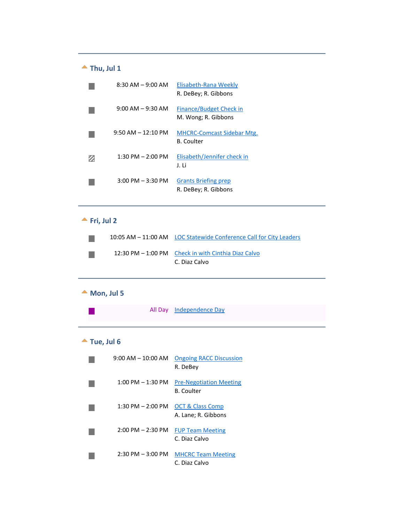#### $\triangle$  Thu, Jul 1

<span id="page-1-0"></span>

| $8:30$ AM $-$ 9:00 AM               | Elisabeth-Rana Weekly<br>R. DeBey; R. Gibbons          |
|-------------------------------------|--------------------------------------------------------|
| $9:00$ AM $-9:30$ AM                | Finance/Budget Check in<br>M. Wong; R. Gibbons         |
| $9:50$ AM $-12:10$ PM               | <b>MHCRC-Comcast Sidebar Mtg.</b><br><b>B.</b> Coulter |
| $1:30$ PM $- 2:00$ PM               | Elisabeth/Jennifer check in<br>J. Li                   |
| $3:00 \text{ PM} - 3:30 \text{ PM}$ | <b>Grants Briefing prep</b><br>R. DeBey; R. Gibbons    |

#### $\triangle$  Fri, Jul 2

<span id="page-1-1"></span>

|  | 10:05 AM - 11:00 AM LOC Statewide Conference Call for City Leaders   |
|--|----------------------------------------------------------------------|
|  | 12:30 PM - 1:00 PM Check in with Cinthia Diaz Calvo<br>C. Diaz Calvo |

# $M$  Mon, Jul 5

 $\mathbb{R}^n$ 

<span id="page-1-2"></span>All Day Independence Day

# **Tue, Jul 6**

<span id="page-1-3"></span>

| $9:00 \, \text{AM} - 10:00 \, \text{AM}$ | <b>Ongoing RACC Discussion</b><br>R. DeBev         |
|------------------------------------------|----------------------------------------------------|
| $1:00 \text{ PM} - 1:30 \text{ PM}$      | <b>Pre-Negotiation Meeting</b><br>B. Coulter       |
| $1:30$ PM $- 2:00$ PM                    | <b>OCT &amp; Class Comp</b><br>A. Lane; R. Gibbons |
| $2:00$ PM $- 2:30$ PM                    | <b>FUP Team Meeting</b><br>C. Diaz Calvo           |
| $2:30$ PM $-3:00$ PM                     | <b>MHCRC Team Meeting</b><br>C. Diaz Calvo         |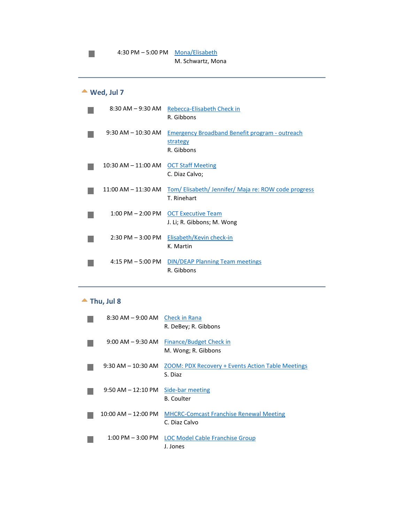# **Wed, Jul 7**

m,

<span id="page-2-0"></span>

| 8:30 AM – 9:30 AM       | Rebecca-Elisabeth Check in<br>R. Gibbons                                        |
|-------------------------|---------------------------------------------------------------------------------|
| $9:30$ AM $- 10:30$ AM  | <b>Emergency Broadband Benefit program - outreach</b><br>strategy<br>R. Gibbons |
| $10:30$ AM $- 11:00$ AM | <b>OCT Staff Meeting</b><br>C. Diaz Calvo;                                      |
| $11:00$ AM $- 11:30$ AM | Tom/Elisabeth/Jennifer/Maja re: ROW code progress<br>T. Rinehart                |
|                         | 1:00 PM - 2:00 PM OCT Executive Team<br>J. Li; R. Gibbons; M. Wong              |
| $2:30$ PM $-3:00$ PM    | Elisabeth/Kevin check-in<br>K. Martin                                           |
| $4:15$ PM $-5:00$ PM    | <b>DIN/DEAP Planning Team meetings</b><br>R. Gibbons                            |

#### $\triangle$  Thu, Jul 8

<span id="page-2-1"></span>

| 8:30 AM - 9:00 AM Check in Rana | R. DeBey; R. Gibbons                                                |
|---------------------------------|---------------------------------------------------------------------|
| 9:00 AM – 9:30 AM               | Finance/Budget Check in<br>M. Wong; R. Gibbons                      |
| $9:30$ AM $-10:30$ AM           | <b>ZOOM: PDX Recovery + Events Action Table Meetings</b><br>S. Diaz |
| $9:50$ AM $-12:10$ PM           | Side-bar meeting<br><b>B.</b> Coulter                               |
| $10:00$ AM $- 12:00$ PM         | <b>MHCRC-Comcast Franchise Renewal Meeting</b><br>C. Diaz Calvo     |
| $1:00$ PM $-3:00$ PM            | <b>LOC Model Cable Franchise Group</b><br>J. Jones                  |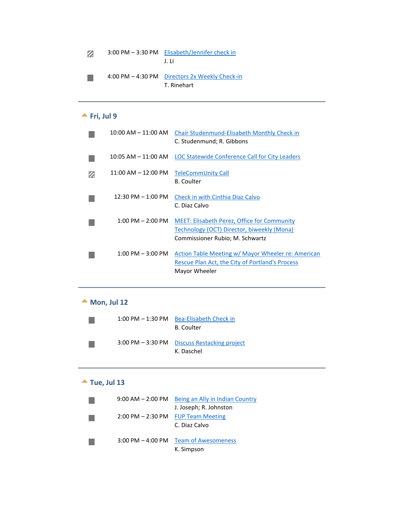| Ø | 3:00 PM - 3:30 PM Elisabeth/Jennifer check in |
|---|-----------------------------------------------|
|   | .LI i                                         |

4:00 PM – 4:30 PM Directors 2x Weekly Check-in  $\mathcal{L}^{\mathcal{L}}$ T. Rinehart

#### **Fri, Jul 9**

<span id="page-3-0"></span>

| $10:00$ AM $- 11:00$ AM | Chair Studenmund-Elisabeth Monthly Check in<br>C. Studenmund; R. Gibbons                                                            |
|-------------------------|-------------------------------------------------------------------------------------------------------------------------------------|
| $10:05$ AM $- 11:00$ AM | LOC Statewide Conference Call for City Leaders                                                                                      |
| $11:00$ AM $- 12:00$ PM | TeleCommUnity Call<br><b>B.</b> Coulter                                                                                             |
| $12:30$ PM $-1:00$ PM   | Check in with Cinthia Diaz Calvo<br>C. Diaz Calvo                                                                                   |
| $1:00$ PM $- 2:00$ PM   | <b>MEET: Elisabeth Perez, Office for Community</b><br>Technology (OCT) Director, biweekly (Mona)<br>Commissioner Rubio; M. Schwartz |
| $1:00$ PM $-3:00$ PM    | Action Table Meeting w/ Mayor Wheeler re: American<br>Rescue Plan Act, the City of Portland's Process<br>Mayor Wheeler              |

#### **Mon, Jul 12**

<span id="page-3-1"></span>

| $1:00$ PM $-1:30$ PM | Bea-Elisabeth Check in<br><b>B.</b> Coulter                |
|----------------------|------------------------------------------------------------|
|                      | 3:00 PM – 3:30 PM Discuss Restacking project<br>K. Daschel |

# **Tue, Jul 13**

<span id="page-3-2"></span>

| $9:00$ AM $- 2:00$ PM | Being an Ally in Indian Country |
|-----------------------|---------------------------------|
|                       | J. Joseph; R. Johnston          |
| $2:00$ PM $- 2:30$ PM | <b>FUP Team Meeting</b>         |
|                       | C. Diaz Calvo                   |
|                       |                                 |
| $3:00$ PM $-$ 4:00 PM | <b>Team of Awesomeness</b>      |
|                       | K. Simpson                      |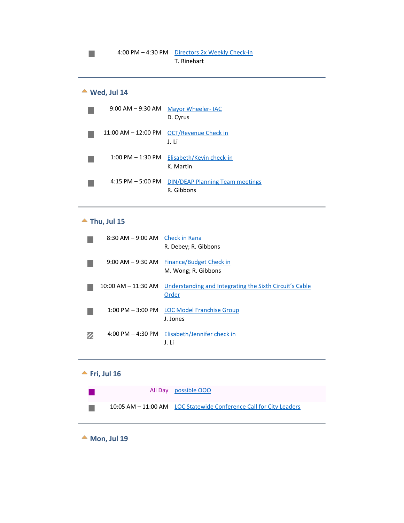# **Wed, Jul 14**

m,

<span id="page-4-0"></span>

|                      | 9:00 AM - 9:30 AM Mayor Wheeler- IAC<br>D. Cyrus     |
|----------------------|------------------------------------------------------|
|                      | 11:00 AM - 12:00 PM OCT/Revenue Check in<br>J. Li    |
| $1:00$ PM $-1:30$ PM | Elisabeth/Kevin check-in<br>K. Martin                |
| $4:15$ PM $-5:00$ PM | <b>DIN/DEAP Planning Team meetings</b><br>R. Gibbons |

#### **Thu, Jul 15**

<span id="page-4-1"></span>

| $8:30$ AM $-9:00$ AM Check in Rana | R. Debey; R. Gibbons                                             |
|------------------------------------|------------------------------------------------------------------|
| $9:00$ AM $-9:30$ AM               | Finance/Budget Check in<br>M. Wong; R. Gibbons                   |
| $10:00$ AM $- 11:30$ AM            | Understanding and Integrating the Sixth Circuit's Cable<br>Order |
| $1:00$ PM $-3:00$ PM               | LOC Model Franchise Group<br>J. Jones                            |
| $4:00$ PM $- 4:30$ PM              | Elisabeth/Jennifer check in<br>J. Li                             |

#### <span id="page-4-2"></span>**Fri, Jul 16**

|  | All Day possible OOO                                               |
|--|--------------------------------------------------------------------|
|  | 10:05 AM - 11:00 AM LOC Statewide Conference Call for City Leaders |

<span id="page-4-3"></span>**Mon, Jul 19**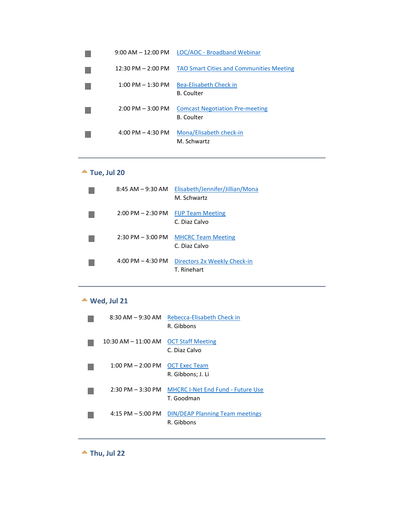| $9:00$ AM $-$ 12:00 PM              | LOC/AOC - Broadband Webinar                          |
|-------------------------------------|------------------------------------------------------|
| 12:30 PM - 2:00 PM                  | <b>TAO Smart Cities and Communities Meeting</b>      |
| $1:00 \text{ PM} - 1:30 \text{ PM}$ | Bea-Elisabeth Check in<br>B. Coulter                 |
| $2:00$ PM $-3:00$ PM                | <b>Comcast Negotiation Pre-meeting</b><br>B. Coulter |
| $4:00 \text{ PM} - 4:30 \text{ PM}$ | Mona/Elisabeth check-in<br>M. Schwartz               |

# **Tue, Jul 20**

<span id="page-5-0"></span>

| $8:45 AM - 9:30 AM$                 | Elisabeth/Jennifer/Jillian/Mona<br>M. Schwartz |
|-------------------------------------|------------------------------------------------|
| $2:00$ PM $- 2:30$ PM               | <b>FUP Team Meeting</b><br>C. Diaz Calvo       |
| $2:30 \text{ PM} - 3:00 \text{ PM}$ | <b>MHCRC Team Meeting</b><br>C. Diaz Calvo     |
| 4:00 PM $-$ 4:30 PM                 | Directors 2x Weekly Check-in<br>T. Rinehart    |

# **Wed, Jul 21**

<span id="page-5-1"></span>

|                       | 8:30 AM - 9:30 AM Rebecca-Elisabeth Check in<br>R. Gibbons |
|-----------------------|------------------------------------------------------------|
| 10:30 AM – 11:00 AM   | <b>OCT Staff Meeting</b><br>C. Diaz Calvo                  |
| $1:00$ PM $- 2:00$ PM | <b>OCT Exec Team</b><br>R. Gibbons; J. Li                  |
| $2:30$ PM $-3:30$ PM  | <b>MHCRC I-Net End Fund - Future Use</b><br>T. Goodman     |
| $4:15$ PM $-5:00$ PM  | <b>DIN/DEAP Planning Team meetings</b><br>R. Gibbons       |

<span id="page-5-2"></span>**Thu, Jul 22**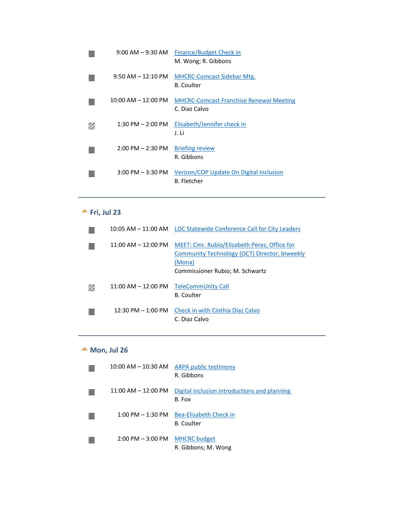| $9:00$ AM $-9:30$ AM    | Finance/Budget Check in<br>M. Wong; R. Gibbons                  |
|-------------------------|-----------------------------------------------------------------|
| $9:50$ AM $-12:10$ PM   | <b>MHCRC-Comcast Sidebar Mtg.</b><br><b>B.</b> Coulter          |
| $10:00$ AM $- 12:00$ PM | <b>MHCRC-Comcast Franchise Renewal Meeting</b><br>C. Diaz Calvo |
| $1:30$ PM $- 2:00$ PM   | Elisabeth/Jennifer check in<br>J. Li                            |
| $2:00$ PM $- 2:30$ PM   | <b>Briefing review</b><br>R. Gibbons                            |
| $3:00$ PM $-3:30$ PM    | Verizon/COP Update On Digital Inclusion<br><b>B.</b> Fletcher   |

# **Fri, Jul 23**

<span id="page-6-0"></span>

|                                      | 10:05 AM – 11:00 AM LOC Statewide Conference Call for City Leaders                                                                         |
|--------------------------------------|--------------------------------------------------------------------------------------------------------------------------------------------|
| $11:00$ AM $-12:00$ PM               | MEET: Cmr. Rubio/Elisabeth Perez, Office for<br>Community Technology (OCT) Director, biweekly<br>(Mona)<br>Commissioner Rubio; M. Schwartz |
| $11:00$ AM $- 12:00$ PM              | <b>TeleCommUnity Call</b><br><b>B.</b> Coulter                                                                                             |
| $12:30 \text{ PM} - 1:00 \text{ PM}$ | Check in with Cinthia Diaz Calvo<br>C. Diaz Calvo                                                                                          |

# ▲ Mon, Jul 26

<span id="page-6-1"></span>

| $10:00$ AM $- 10:30$ AM                          | ARPA public testimony<br>R. Gibbons                    |
|--------------------------------------------------|--------------------------------------------------------|
| $11:00$ AM $- 12:00$ PM                          | Digital inclusion introductions and planning<br>B. Fox |
| $1:00$ PM $-1:30$ PM                             | Bea-Elisabeth Check in<br><b>B.</b> Coulter            |
| $2:00 \text{ PM} - 3:00 \text{ PM}$ MHCRC budget | R. Gibbons; M. Wong                                    |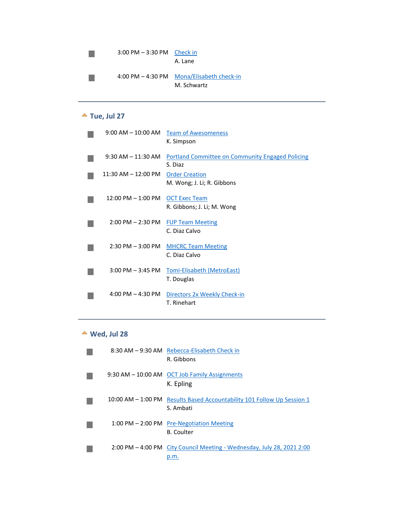| $3:00 \text{ PM} - 3:30 \text{ PM}$ Check in | A. Lane                                                  |
|----------------------------------------------|----------------------------------------------------------|
|                                              | 4:00 PM - 4:30 PM Mona/Elisabeth check-in<br>M. Schwartz |

#### **Tue, Jul 27**

<span id="page-7-0"></span>

| $9:00 \, \text{AM} - 10:00 \, \text{AM}$ | <b>Team of Awesomeness</b>                                         |
|------------------------------------------|--------------------------------------------------------------------|
|                                          | K. Simpson                                                         |
| $9:30$ AM $-11:30$ AM                    | <b>Portland Committee on Community Engaged Policing</b><br>S. Diaz |
| $11:30$ AM $- 12:00$ PM                  | <b>Order Creation</b>                                              |
|                                          | M. Wong; J. Li; R. Gibbons                                         |
| $12:00$ PM $- 1:00$ PM                   | <b>OCT Exec Team</b>                                               |
|                                          | R. Gibbons; J. Li; M. Wong                                         |
|                                          |                                                                    |
| $2:00$ PM $- 2:30$ PM                    | <b>FUP Team Meeting</b><br>C. Diaz Calvo                           |
|                                          |                                                                    |
| $2:30$ PM $-3:00$ PM                     | <b>MHCRC Team Meeting</b>                                          |
|                                          | C. Diaz Calvo                                                      |
| $3:00$ PM $-3:45$ PM                     | <b>Tomi-Elisabeth (MetroEast)</b>                                  |
|                                          | T. Douglas                                                         |
|                                          |                                                                    |
| $4:00 \text{ PM} - 4:30 \text{ PM}$      | Directors 2x Weekly Check-in                                       |
|                                          | T. Rinehart                                                        |

#### **Wed, Jul 28**

<span id="page-7-1"></span>

|  | 8:30 AM - 9:30 AM Rebecca-Elisabeth Check in<br>R. Gibbons                           |
|--|--------------------------------------------------------------------------------------|
|  | 9:30 AM - 10:00 AM OCT Job Family Assignments<br>K. Epling                           |
|  | 10:00 AM – 1:00 PM Results Based Accountability 101 Follow Up Session 1<br>S. Ambati |
|  | 1:00 PM - 2:00 PM Pre-Negotiation Meeting<br><b>B.</b> Coulter                       |
|  | 2:00 PM – 4:00 PM City Council Meeting - Wednesday, July 28, 2021 2:00<br>p.m.       |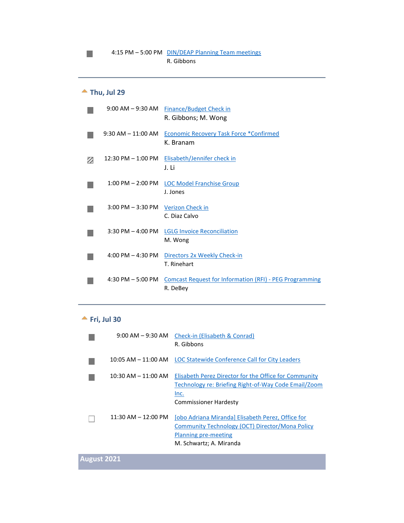# <span id="page-8-0"></span>**Thu, Jul 29**

П

| $9:00$ AM $-9:30$ AM  | <b>Finance/Budget Check in</b><br>R. Gibbons; M. Wong                      |
|-----------------------|----------------------------------------------------------------------------|
| $9:30$ AM $-11:00$ AM | <b>Economic Recovery Task Force *Confirmed</b><br>K. Branam                |
| $12:30$ PM $-1:00$ PM | Elisabeth/Jennifer check in<br>J. Li                                       |
| $1:00$ PM $- 2:00$ PM | <b>LOC Model Franchise Group</b><br>J. Jones                               |
| $3:00$ PM $-3:30$ PM  | Verizon Check in<br>C. Diaz Calvo                                          |
| $3:30$ PM $-$ 4:00 PM | <b>LGLG Invoice Reconciliation</b><br>M. Wong                              |
| $4:00$ PM $-4:30$ PM  | Directors 2x Weekly Check-in<br>T. Rinehart                                |
| 4:30 PM $-5:00$ PM    | <b>Comcast Request for Information (RFI) - PEG Programming</b><br>R. DeBey |

#### **Fri, Jul 30**

<span id="page-8-1"></span>

| $9:00 \, \text{AM} - 9:30 \, \text{AM}$ | Check-in (Elisabeth & Conrad)<br>R. Gibbons                                                                                                             |
|-----------------------------------------|---------------------------------------------------------------------------------------------------------------------------------------------------------|
| 10:05 AM – 11:00 AM                     | LOC Statewide Conference Call for City Leaders                                                                                                          |
| $10:30$ AM $- 11:00$ AM                 | Elisabeth Perez Director for the Office for Community<br>Technology re: Briefing Right-of-Way Code Email/Zoom<br>Inc.<br><b>Commissioner Hardesty</b>   |
| $11:30$ AM $- 12:00$ PM                 | Jobo Adriana Miranda] Elisabeth Perez, Office for<br>Community Technology (OCT) Director/Mona Policy<br>Planning pre-meeting<br>M. Schwartz; A. Miranda |

**August 2021**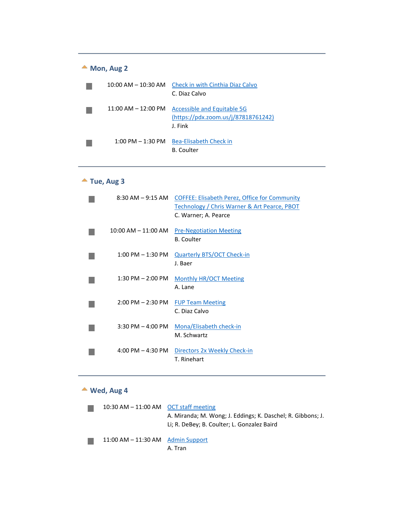<span id="page-9-0"></span>

| Mon, Aug 2 |                                     |                                                                               |
|------------|-------------------------------------|-------------------------------------------------------------------------------|
|            | $10:00$ AM $-$ 10:30 AM             | Check in with Cinthia Diaz Calvo<br>C. Diaz Calvo                             |
|            | $11:00$ AM $-12:00$ PM              | Accessible and Equitable 5G<br>(https://pdx.zoom.us/j/87818761242)<br>J. Fink |
|            | $1:00 \text{ PM} - 1:30 \text{ PM}$ | Bea-Elisabeth Check in<br>B. Coulter                                          |

# **Tue, Aug 3**

<span id="page-9-1"></span>

| 8:30 AM – 9:15 AM       | <b>COFFEE: Elisabeth Perez, Office for Community</b><br><b>Technology / Chris Warner &amp; Art Pearce, PBOT</b><br>C. Warner; A. Pearce |
|-------------------------|-----------------------------------------------------------------------------------------------------------------------------------------|
| $10:00$ AM $- 11:00$ AM | <b>Pre-Negotiation Meeting</b><br><b>B.</b> Coulter                                                                                     |
| $1:00$ PM $-1:30$ PM    | <b>Quarterly BTS/OCT Check-in</b><br>J. Baer                                                                                            |
| $1:30$ PM $- 2:00$ PM   | <b>Monthly HR/OCT Meeting</b><br>A. Lane                                                                                                |
| $2:00$ PM $- 2:30$ PM   | <b>FUP Team Meeting</b><br>C. Diaz Calvo                                                                                                |
| $3:30$ PM $-$ 4:00 PM   | Mona/Elisabeth check-in<br>M. Schwartz                                                                                                  |
| 4:00 PM $-$ 4:30 PM     | Directors 2x Weekly Check-in<br>T. Rinehart                                                                                             |

# **Wed, Aug 4**

<span id="page-9-2"></span>

| 10:30 AM $-$ 11:00 AM OCT staff meeting | A. Miranda; M. Wong; J. Eddings; K. Daschel; R. Gibbons; J.<br>Li; R. DeBey; B. Coulter; L. Gonzalez Baird |
|-----------------------------------------|------------------------------------------------------------------------------------------------------------|
| $11:00$ AM $-11:30$ AM Admin Support    | A. Tran                                                                                                    |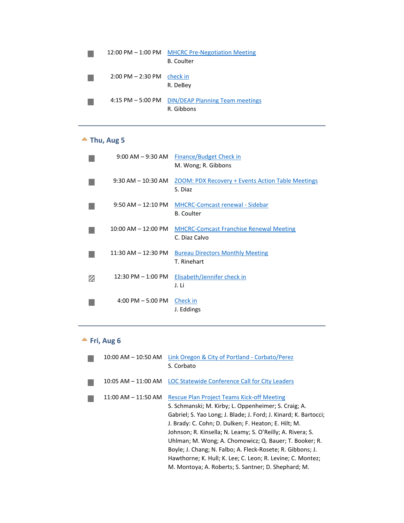| $12:00$ PM $- 1:00$ PM | <b>MHCRC Pre-Negotiation Meeting</b><br>B. Coulter   |
|------------------------|------------------------------------------------------|
| $2:00$ PM $- 2:30$ PM  | check in<br>R. DeBey                                 |
| 4:15 PM $-$ 5:00 PM    | <b>DIN/DEAP Planning Team meetings</b><br>R. Gibbons |

# **Thu, Aug 5**

<span id="page-10-0"></span>

|   | $9:00$ AM $-9:30$ AM                | <b>Finance/Budget Check in</b><br>M. Wong; R. Gibbons               |
|---|-------------------------------------|---------------------------------------------------------------------|
|   | $9:30$ AM $- 10:30$ AM              | <b>ZOOM: PDX Recovery + Events Action Table Meetings</b><br>S. Diaz |
|   | $9:50$ AM $-12:10$ PM               | <b>MHCRC-Comcast renewal - Sidebar</b><br><b>B.</b> Coulter         |
|   | $10:00$ AM $- 12:00$ PM             | <b>MHCRC-Comcast Franchise Renewal Meeting</b><br>C. Diaz Calvo     |
|   | $11:30$ AM $- 12:30$ PM             | <b>Bureau Directors Monthly Meeting</b><br>T. Rinehart              |
| Ø | $12:30$ PM $-1:00$ PM               | Elisabeth/Jennifer check in<br>J. Li                                |
|   | $4:00 \text{ PM} - 5:00 \text{ PM}$ | Check in<br>J. Eddings                                              |

# **Fri, Aug 6**

<span id="page-10-1"></span>

| $10:00$ AM $- 10:50$ AM | Link Oregon & City of Portland - Corbato/Perez<br>S. Corbato                                                                                                                                                                                                                                                                                                                                                                                                                                                                                     |
|-------------------------|--------------------------------------------------------------------------------------------------------------------------------------------------------------------------------------------------------------------------------------------------------------------------------------------------------------------------------------------------------------------------------------------------------------------------------------------------------------------------------------------------------------------------------------------------|
|                         | 10:05 AM - 11:00 AM LOC Statewide Conference Call for City Leaders                                                                                                                                                                                                                                                                                                                                                                                                                                                                               |
| 11:00 AM – 11:50 AM     | <b>Rescue Plan Project Teams Kick-off Meeting</b><br>S. Schmanski; M. Kirby; L. Oppenheimer; S. Craig; A.<br>Gabriel; S. Yao Long; J. Blade; J. Ford; J. Kinard; K. Bartocci;<br>J. Brady: C. Cohn; D. Dulken; F. Heaton; E. Hilt; M.<br>Johnson; R. Kinsella; N. Leamy; S. O'Reilly; A. Rivera; S.<br>Uhlman; M. Wong; A. Chomowicz; Q. Bauer; T. Booker; R.<br>Boyle; J. Chang; N. Falbo; A. Fleck-Rosete; R. Gibbons; J.<br>Hawthorne; K. Hull; K. Lee; C. Leon; R. Levine; C. Montez;<br>M. Montoya; A. Roberts; S. Santner; D. Shephard; M. |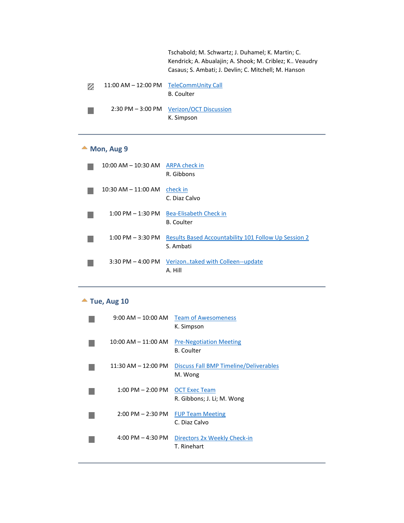| Tschabold: M. Schwartz: J. Duhamel: K. Martin: C.       |
|---------------------------------------------------------|
| Kendrick; A. Abualajin; A. Shook; M. Criblez; K Veaudry |
| Casaus; S. Ambati; J. Devlin; C. Mitchell; M. Hanson    |

| Ø | 11:00 AM - 12:00 PM TeleCommUnity Call |                                          |
|---|----------------------------------------|------------------------------------------|
|   |                                        | <b>B.</b> Coulter                        |
|   |                                        | 2:30 PM - 3:00 PM Verizon/OCT Discussion |
|   |                                        | K. Simpson                               |

#### ▲ Mon, Aug 9

<span id="page-11-0"></span>

| $10:00$ AM $- 10:30$ AM             | <b>ARPA check in</b><br>R. Gibbons                                |
|-------------------------------------|-------------------------------------------------------------------|
| $10:30$ AM $- 11:00$ AM             | check in<br>C. Diaz Calvo                                         |
| $1:00$ PM $-1:30$ PM                | <b>Bea-Elisabeth Check in</b><br><b>B.</b> Coulter                |
| $1:00 \text{ PM} - 3:30 \text{ PM}$ | Results Based Accountability 101 Follow Up Session 2<br>S. Ambati |
| $3:30$ PM $-$ 4:00 PM               | Verizontaked with Colleen--update<br>A. Hill                      |

# **Tue, Aug 10**

<span id="page-11-1"></span>

| $9:00 \, \text{AM} - 10:00 \, \text{AM}$ | <b>Team of Awesomeness</b><br>K. Simpson            |
|------------------------------------------|-----------------------------------------------------|
| $10:00$ AM $- 11:00$ AM                  | <b>Pre-Negotiation Meeting</b><br><b>B.</b> Coulter |
| $11:30$ AM $- 12:00$ PM                  | Discuss Fall BMP Timeline/Deliverables<br>M. Wong   |
| $1:00$ PM $- 2:00$ PM                    | <b>OCT Exec Team</b><br>R. Gibbons; J. Li; M. Wong  |
| $2:00$ PM $- 2:30$ PM                    | <b>FUP Team Meeting</b><br>C. Diaz Calvo            |
| $4:00$ PM $- 4:30$ PM                    | Directors 2x Weekly Check-in<br>T. Rinehart         |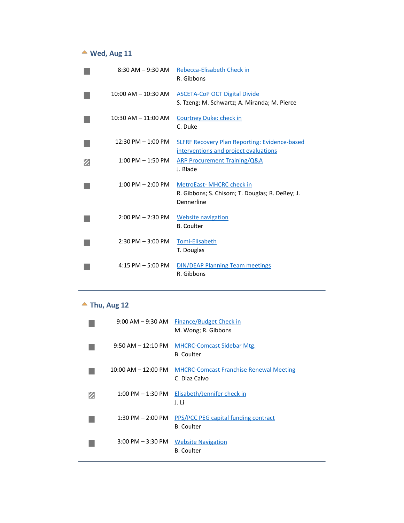# **Wed, Aug 11**

<span id="page-12-0"></span>

|   | $8:30$ AM $-9:30$ AM    | Rebecca-Elisabeth Check in<br>R. Gibbons                                                      |
|---|-------------------------|-----------------------------------------------------------------------------------------------|
|   | $10:00$ AM $- 10:30$ AM | <b>ASCETA-CoP OCT Digital Divide</b><br>S. Tzeng; M. Schwartz; A. Miranda; M. Pierce          |
|   | 10:30 AM - 11:00 AM     | <b>Courtney Duke: check in</b><br>C. Duke                                                     |
|   | 12:30 PM - 1:00 PM      | <b>SLFRF Recovery Plan Reporting: Evidence-based</b><br>interventions and project evaluations |
| z | $1:00$ PM $-1:50$ PM    | <b>ARP Procurement Training/Q&amp;A</b><br>J. Blade                                           |
|   | $1:00$ PM $- 2:00$ PM   | MetroEast- MHCRC check in<br>R. Gibbons; S. Chisom; T. Douglas; R. DeBey; J.<br>Dennerline    |
|   | $2:00$ PM $- 2:30$ PM   | Website navigation<br><b>B.</b> Coulter                                                       |
|   | $2:30$ PM $-3:00$ PM    | Tomi-Elisabeth<br>T. Douglas                                                                  |
|   | $4:15$ PM $-5:00$ PM    | <b>DIN/DEAP Planning Team meetings</b><br>R. Gibbons                                          |

# **Thu, Aug 12**

<span id="page-12-1"></span>

| 9:00 AM – 9:30 AM                   | Finance/Budget Check in<br>M. Wong; R. Gibbons                  |
|-------------------------------------|-----------------------------------------------------------------|
| $9:50$ AM $-12:10$ PM               | <b>MHCRC-Comcast Sidebar Mtg.</b><br><b>B.</b> Coulter          |
| $10:00$ AM $- 12:00$ PM             | <b>MHCRC-Comcast Franchise Renewal Meeting</b><br>C. Diaz Calvo |
| $1:00 \text{ PM} - 1:30 \text{ PM}$ | Elisabeth/Jennifer check in<br>J. Li                            |
| $1:30$ PM $- 2:00$ PM               | PPS/PCC PEG capital funding contract<br><b>B.</b> Coulter       |
| $3:00$ PM $-3:30$ PM                | <b>Website Navigation</b><br><b>B.</b> Coulter                  |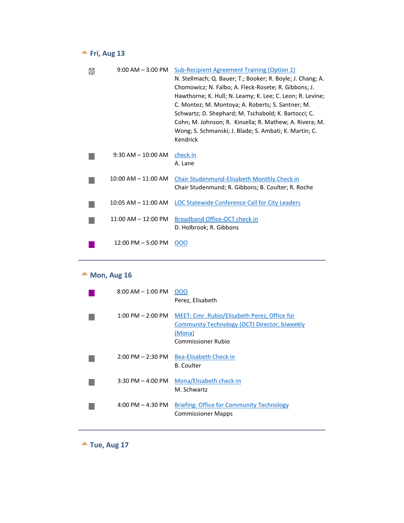#### <span id="page-13-0"></span>**Fri, Aug 13**

| $9:00$ AM $-3:00$ PM    | Sub-Recipient Agreement Training (Option 1)<br>N. Stellmach; Q. Bauer; T.; Booker; R. Boyle; J. Chang; A.<br>Chomowicz; N. Falbo; A. Fleck-Rosete; R. Gibbons; J.<br>Hawthorne; K. Hull; N. Leamy; K. Lee; C. Leon; R. Levine;<br>C. Montez; M. Montoya; A. Roberts; S. Santner; M. |
|-------------------------|-------------------------------------------------------------------------------------------------------------------------------------------------------------------------------------------------------------------------------------------------------------------------------------|
|                         | Schwartz; D. Shephard; M. Tschabold; K. Bartocci; C.<br>Cohn; M. Johnson; R. Kinsella; R. Mathew; A. Rivera; M.<br>Wong; S. Schmanski; J. Blade; S. Ambati; K. Martin; C.<br>Kendrick                                                                                               |
| $9:30$ AM $- 10:00$ AM  | check in<br>A. Lane                                                                                                                                                                                                                                                                 |
| $10:00$ AM $- 11:00$ AM | Chair Studenmund-Elisabeth Monthly Check in<br>Chair Studenmund; R. Gibbons; B. Coulter; R. Roche                                                                                                                                                                                   |
| $10:05$ AM $- 11:00$ AM | LOC Statewide Conference Call for City Leaders                                                                                                                                                                                                                                      |
| $11:00$ AM $- 12:00$ PM | Broadband Office-OCT check in<br>D. Holbrook; R. Gibbons                                                                                                                                                                                                                            |
| $12:00$ PM $-5:00$ PM   | 000                                                                                                                                                                                                                                                                                 |

#### **Mon, Aug 16**

<span id="page-13-1"></span>

| $8:00$ AM $-1:00$ PM                | 000<br>Perez, Elisabeth                                                                                                              |
|-------------------------------------|--------------------------------------------------------------------------------------------------------------------------------------|
| $1:00 \text{ PM} - 2:00 \text{ PM}$ | MEET: Cmr. Rubio/Elisabeth Perez, Office for<br>Community Technology (OCT) Director, biweekly<br>(Mona)<br><b>Commissioner Rubio</b> |
| $2:00 \text{ PM} - 2:30 \text{ PM}$ | Bea-Elisabeth Check in<br>B. Coulter                                                                                                 |
| $3:30$ PM $-$ 4:00 PM               | Mona/Elisabeth check-in<br>M. Schwartz                                                                                               |
| 4:00 PM $-$ 4:30 PM                 | <b>Briefing: Office for Community Technology</b><br><b>Commissioner Mapps</b>                                                        |

<span id="page-13-2"></span>**Tue, Aug 17**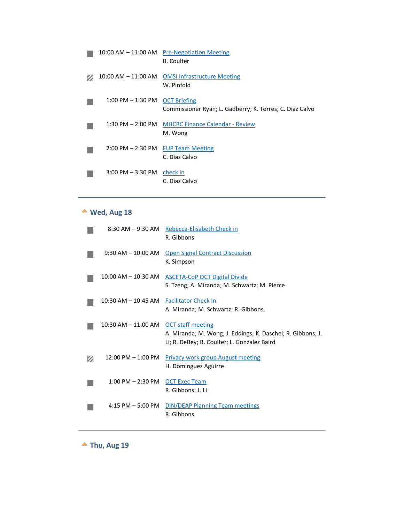| 10:00 AM – 11:00 AM                                  | <b>Pre-Negotiation Meeting</b><br><b>B.</b> Coulter                             |
|------------------------------------------------------|---------------------------------------------------------------------------------|
| $10:00$ AM $- 11:00$ AM                              | <b>OMSI Infrastructure Meeting</b><br>W. Pinfold                                |
| $1:00$ PM $-1:30$ PM                                 | <b>OCT Briefing</b><br>Commissioner Ryan; L. Gadberry; K. Torres; C. Diaz Calvo |
| $1:30$ PM $- 2:00$ PM                                | <b>MHCRC Finance Calendar - Review</b><br>M. Wong                               |
| $2:00 \text{ PM} - 2:30 \text{ PM}$ FUP Team Meeting | C. Diaz Calvo                                                                   |
| $3:00$ PM $-3:30$ PM                                 | check in<br>C. Diaz Calvo                                                       |

# **Wed, Aug 18**

<span id="page-14-0"></span>

|                         | 8:30 AM - 9:30 AM Rebecca-Elisabeth Check in<br>R. Gibbons                                                                             |
|-------------------------|----------------------------------------------------------------------------------------------------------------------------------------|
| $9:30$ AM $-10:00$ AM   | <b>Open Signal Contract Discussion</b><br>K. Simpson                                                                                   |
| 10:00 AM – 10:30 AM     | <b>ASCETA-CoP OCT Digital Divide</b><br>S. Tzeng; A. Miranda; M. Schwartz; M. Pierce                                                   |
| $10:30$ AM $- 10:45$ AM | <b>Facilitator Check In</b><br>A. Miranda; M. Schwartz; R. Gibbons                                                                     |
| $10:30$ AM $- 11:00$ AM | <b>OCT staff meeting</b><br>A. Miranda; M. Wong; J. Eddings; K. Daschel; R. Gibbons; J.<br>Li; R. DeBey; B. Coulter; L. Gonzalez Baird |
| $12:00$ PM $- 1:00$ PM  | <b>Privacy work group August meeting</b><br>H. Dominguez Aguirre                                                                       |
| $1:00$ PM $- 2:30$ PM   | <b>OCT Exec Team</b><br>R. Gibbons; J. Li                                                                                              |
| $4:15$ PM $-5:00$ PM    | <b>DIN/DEAP Planning Team meetings</b><br>R. Gibbons                                                                                   |

<span id="page-14-1"></span>**Thu, Aug 19**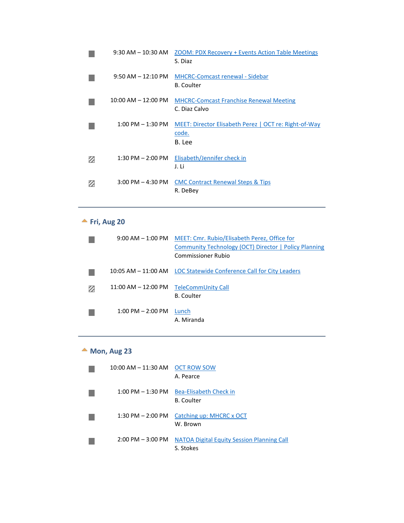| $9:30$ AM $-10:30$ AM   | <b>ZOOM: PDX Recovery + Events Action Table Meetings</b><br>S. Diaz      |
|-------------------------|--------------------------------------------------------------------------|
| $9:50$ AM $-12:10$ PM   | <b>MHCRC-Comcast renewal - Sidebar</b><br><b>B.</b> Coulter              |
| $10:00$ AM $- 12:00$ PM | <b>MHCRC-Comcast Franchise Renewal Meeting</b><br>C. Diaz Calvo          |
| $1:00$ PM $-1:30$ PM    | MEET: Director Elisabeth Perez   OCT re: Right-of-Way<br>code.<br>B. Lee |
| $1:30$ PM $- 2:00$ PM   | Elisabeth/Jennifer check in<br>J. Li                                     |
| $3:00$ PM $-$ 4:30 PM   | <b>CMC Contract Renewal Steps &amp; Tips</b><br>R. DeBev                 |

#### **Fri, Aug 20**

<span id="page-15-0"></span>

|                         | 9:00 AM - 1:00 PM MEET: Cmr. Rubio/Elisabeth Perez, Office for     |
|-------------------------|--------------------------------------------------------------------|
|                         | <b>Community Technology (OCT) Director   Policy Planning</b>       |
|                         | Commissioner Rubio                                                 |
|                         | 10:05 AM – 11:00 AM LOC Statewide Conference Call for City Leaders |
| $11:00$ AM $- 12:00$ PM | TeleCommUnity Call<br><b>B.</b> Coulter                            |
| $1:00$ PM $- 2:00$ PM   | Lunch<br>A. Miranda                                                |

#### **Mon, Aug 23**

<span id="page-15-1"></span>

| 10:00 AM - 11:30 AM OCT ROW SOW     | A. Pearce                                                      |
|-------------------------------------|----------------------------------------------------------------|
| $1:00$ PM $ 1:30$ PM $\,$           | Bea-Elisabeth Check in<br><b>B.</b> Coulter                    |
|                                     | 1:30 PM $-$ 2:00 PM Catching up: MHCRC x OCT<br>W. Brown       |
| $2:00 \text{ PM} - 3:00 \text{ PM}$ | <b>NATOA Digital Equity Session Planning Call</b><br>S. Stokes |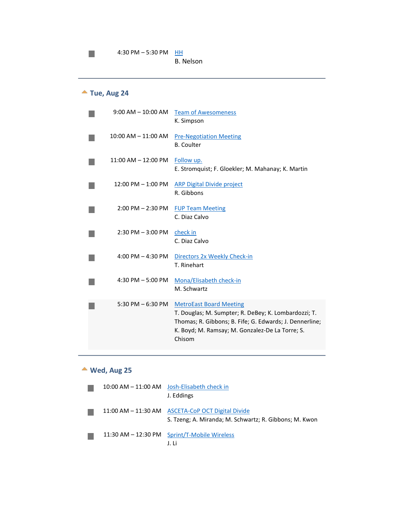# **Tue, Aug 24**

 $\mathbb{R}^n$ 

<span id="page-16-0"></span>

| $9:00$ AM $-$ 10:00 AM  | <b>Team of Awesomeness</b><br>K. Simpson                                                                                                                                                                       |
|-------------------------|----------------------------------------------------------------------------------------------------------------------------------------------------------------------------------------------------------------|
| 10:00 AM - 11:00 AM     | <b>Pre-Negotiation Meeting</b><br><b>B.</b> Coulter                                                                                                                                                            |
| $11:00$ AM $- 12:00$ PM | Follow up.<br>E. Stromquist; F. Gloekler; M. Mahanay; K. Martin                                                                                                                                                |
| $12:00$ PM $-1:00$ PM   | <b>ARP Digital Divide project</b><br>R. Gibbons                                                                                                                                                                |
| $2:00$ PM $- 2:30$ PM   | <b>FUP Team Meeting</b><br>C. Diaz Calvo                                                                                                                                                                       |
| $2:30$ PM $-3:00$ PM    | check in<br>C. Diaz Calvo                                                                                                                                                                                      |
| 4:00 PM $-$ 4:30 PM     | Directors 2x Weekly Check-in<br>T. Rinehart                                                                                                                                                                    |
| 4:30 PM $-$ 5:00 PM     | Mona/Elisabeth check-in<br>M. Schwartz                                                                                                                                                                         |
| 5:30 PM $-$ 6:30 PM     | <b>MetroEast Board Meeting</b><br>T. Douglas; M. Sumpter; R. DeBey; K. Lombardozzi; T.<br>Thomas; R. Gibbons; B. Fife; G. Edwards; J. Dennerline;<br>K. Boyd; M. Ramsay; M. Gonzalez-De La Torre; S.<br>Chisom |

#### **Wed, Aug 25**

<span id="page-16-1"></span>

|  | 10:00 AM - 11:00 AM Josh-Elisabeth check in<br>J. Eddings                                                   |
|--|-------------------------------------------------------------------------------------------------------------|
|  | 11:00 AM - 11:30 AM ASCETA-CoP OCT Digital Divide<br>S. Tzeng; A. Miranda; M. Schwartz; R. Gibbons; M. Kwon |
|  | 11:30 AM - 12:30 PM Sprint/T-Mobile Wireless<br>J. Li                                                       |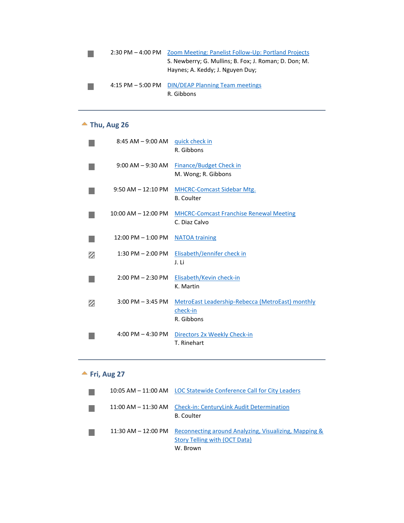|  | 2:30 PM - 4:00 PM Zoom Meeting: Panelist Follow-Up: Portland Projects                     |
|--|-------------------------------------------------------------------------------------------|
|  | S. Newberry; G. Mullins; B. Fox; J. Roman; D. Don; M.<br>Haynes; A. Keddy; J. Nguyen Duy; |
|  | 4:15 PM - 5:00 PM DIN/DEAP Planning Team meetings<br>R. Gibbons                           |

# **Thu, Aug 26**

<span id="page-17-0"></span>

|   | 8:45 AM - 9:00 AM guick check in | R. Gibbons                                                                 |
|---|----------------------------------|----------------------------------------------------------------------------|
|   | $9:00$ AM $-9:30$ AM             | Finance/Budget Check in<br>M. Wong; R. Gibbons                             |
|   | $9:50$ AM $-12:10$ PM            | <b>MHCRC-Comcast Sidebar Mtg.</b><br><b>B.</b> Coulter                     |
|   | $10:00$ AM $- 12:00$ PM          | <b>MHCRC-Comcast Franchise Renewal Meeting</b><br>C. Diaz Calvo            |
|   | $12:00$ PM $-1:00$ PM            | <b>NATOA training</b>                                                      |
|   | $1:30$ PM $- 2:00$ PM            | Elisabeth/Jennifer check in<br>J. Li                                       |
|   | $2:00$ PM $- 2:30$ PM            | Elisabeth/Kevin check-in<br>K. Martin                                      |
| Ø | $3:00$ PM $-3:45$ PM             | MetroEast Leadership-Rebecca (MetroEast) monthly<br>check-in<br>R. Gibbons |
|   | 4:00 PM $-$ 4:30 PM              | Directors 2x Weekly Check-in<br>T. Rinehart                                |

# **Fri, Aug 27**

<span id="page-17-1"></span>

|                         | W. Brown                                                                               |
|-------------------------|----------------------------------------------------------------------------------------|
| $11:30$ AM $- 12:00$ PM | Reconnecting around Analyzing, Visualizing, Mapping &<br>Story Telling with (OCT Data) |
|                         | 11:00 AM - 11:30 AM Check-in: CenturyLink Audit Determination<br><b>B.</b> Coulter     |
|                         | 10:05 AM – 11:00 AM LOC Statewide Conference Call for City Leaders                     |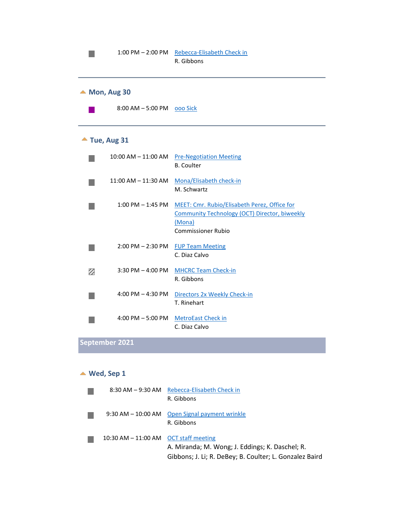<span id="page-18-1"></span><span id="page-18-0"></span>

|   |                            | 1:00 PM - 2:00 PM Rebecca-Elisabeth Check in<br>R. Gibbons                                                                                  |
|---|----------------------------|---------------------------------------------------------------------------------------------------------------------------------------------|
|   | $\triangle$ Mon, Aug 30    |                                                                                                                                             |
|   | 8:00 AM - 5:00 PM 000 Sick |                                                                                                                                             |
|   | $\triangle$ Tue, Aug 31    |                                                                                                                                             |
|   | $10:00$ AM $- 11:00$ AM    | <b>Pre-Negotiation Meeting</b><br><b>B.</b> Coulter                                                                                         |
|   | $11:00$ AM $- 11:30$ AM    | Mona/Elisabeth check-in<br>M. Schwartz                                                                                                      |
|   | $1:00$ PM $-1:45$ PM       | MEET: Cmr. Rubio/Elisabeth Perez, Office for<br><b>Community Technology (OCT) Director, biweekly</b><br>(Mona)<br><b>Commissioner Rubio</b> |
|   | $2:00$ PM $- 2:30$ PM      | <b>FUP Team Meeting</b><br>C. Diaz Calvo                                                                                                    |
| z | $3:30$ PM $-$ 4:00 PM      | <b>MHCRC Team Check-in</b><br>R. Gibbons                                                                                                    |
|   | 4:00 PM $-$ 4:30 PM        | Directors 2x Weekly Check-in<br>T. Rinehart                                                                                                 |
|   | 4:00 PM $-$ 5:00 PM        | <b>MetroEast Check in</b><br>C. Diaz Calvo                                                                                                  |

# **September 2021**

#### **Wed, Sep 1**

<span id="page-18-2"></span>

|                                         | 8:30 AM - 9:30 AM Rebecca-Elisabeth Check in<br>R. Gibbons                                                 |
|-----------------------------------------|------------------------------------------------------------------------------------------------------------|
|                                         | 9:30 AM – 10:00 AM Open Signal payment wrinkle<br>R. Gibbons                                               |
| 10:30 AM $-$ 11:00 AM OCT staff meeting | A. Miranda; M. Wong; J. Eddings; K. Daschel; R.<br>Gibbons; J. Li; R. DeBey; B. Coulter; L. Gonzalez Baird |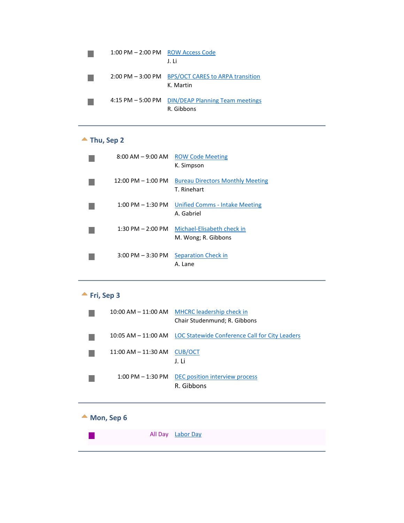| $1:00$ PM $- 2:00$ PM $\;$ ROW Access Code | J. Li                                                |
|--------------------------------------------|------------------------------------------------------|
| $2:00$ PM $-3:00$ PM                       | <b>BPS/OCT CARES to ARPA transition</b><br>K. Martin |
| $4:15$ PM $-5:00$ PM                       | <b>DIN/DEAP Planning Team meetings</b><br>R. Gibbons |

# **Thu, Sep 2**

<span id="page-19-0"></span>

| $8:00$ AM $-9:00$ AM                 | <b>ROW Code Meeting</b><br>K. Simpson                  |
|--------------------------------------|--------------------------------------------------------|
| $12:00 \text{ PM} - 1:00 \text{ PM}$ | <b>Bureau Directors Monthly Meeting</b><br>T. Rinehart |
| $1:00 \text{ PM} - 1:30 \text{ PM}$  | Unified Comms - Intake Meeting<br>A. Gabriel           |
| $1:30$ PM $- 2:00$ PM                | Michael-Elisabeth check in<br>M. Wong; R. Gibbons      |
| $3:00 \text{ PM} - 3:30 \text{ PM}$  | Separation Check in<br>A. Lane                         |

# **Fri, Sep 3**

<span id="page-19-1"></span>

| $10:00$ AM $- 11:00$ AM | <b>MHCRC</b> leadership check in<br>Chair Studenmund; R. Gibbons   |
|-------------------------|--------------------------------------------------------------------|
|                         | 10:05 AM – 11:00 AM LOC Statewide Conference Call for City Leaders |
| $11:00$ AM $-11:30$ AM  | <b>CUB/OCT</b><br>J. Li                                            |
| $1:00$ PM $-1:30$ PM    | DEC position interview process<br>R. Gibbons                       |

#### <span id="page-19-2"></span>▲ Mon, Sep 6

|--|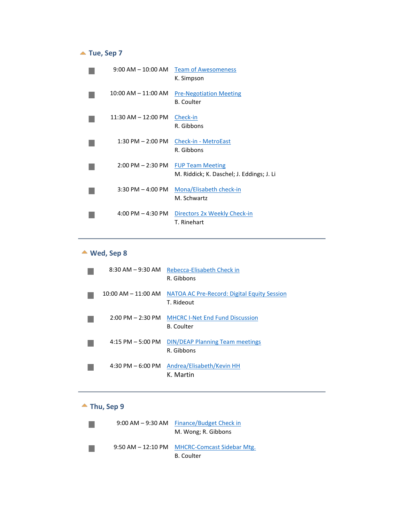#### ▲ Tue, Sep 7

<span id="page-20-0"></span>

| $9:00$ AM $-$ 10:00 AM              | <b>Team of Awesomeness</b><br>K. Simpson                             |
|-------------------------------------|----------------------------------------------------------------------|
| $10:00$ AM $- 11:00$ AM             | <b>Pre-Negotiation Meeting</b><br><b>B.</b> Coulter                  |
| $11:30$ AM $-12:00$ PM              | Check-in<br>R. Gibbons                                               |
| $1:30$ PM $- 2:00$ PM               | Check-in - MetroEast<br>R. Gibbons                                   |
| $2:00 \text{ PM} - 2:30 \text{ PM}$ | <b>FUP Team Meeting</b><br>M. Riddick; K. Daschel; J. Eddings; J. Li |
| $3:30$ PM $-$ 4:00 PM               | Mona/Elisabeth check-in<br>M. Schwartz                               |
| $4:00$ PM $-4:30$ PM                | Directors 2x Weekly Check-in<br>T. Rinehart                          |

# **Wed, Sep 8**

<span id="page-20-1"></span>

| $8:30$ AM $-9:30$ AM                | Rebecca-Elisabeth Check in<br>R. Gibbons                    |
|-------------------------------------|-------------------------------------------------------------|
| $10:00$ AM $- 11:00$ AM             | NATOA AC Pre-Record: Digital Equity Session<br>T. Rideout   |
| $2:00 \text{ PM} - 2:30 \text{ PM}$ | <b>MHCRC I-Net End Fund Discussion</b><br><b>B.</b> Coulter |
| $4:15$ PM $-5:00$ PM                | <b>DIN/DEAP Planning Team meetings</b><br>R. Gibbons        |
| $4:30 \text{ PM} - 6:00 \text{ PM}$ | Andrea/Elisabeth/Kevin HH<br>K. Martin                      |

#### ▲ Thu, Sep 9

<span id="page-20-2"></span>

| $9:00$ AM $-9:30$ AM  | Finance/Budget Check in<br>M. Wong; R. Gibbons         |
|-----------------------|--------------------------------------------------------|
| $9:50$ AM $-12:10$ PM | <b>MHCRC-Comcast Sidebar Mtg.</b><br><b>B.</b> Coulter |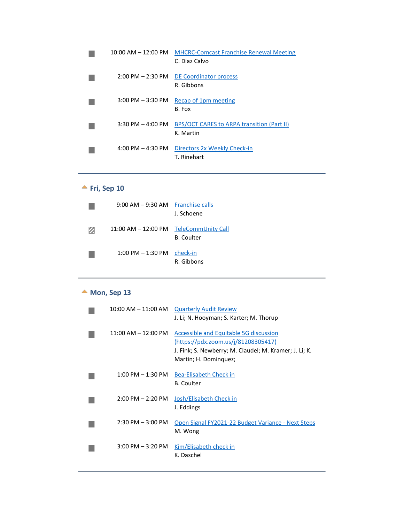| $10:00$ AM $-$ 12:00 PM             | <b>MHCRC-Comcast Franchise Renewal Meeting</b><br>C. Diaz Calvo |
|-------------------------------------|-----------------------------------------------------------------|
| $2:00 \text{ PM} - 2:30 \text{ PM}$ | DE Coordinator process<br>R. Gibbons                            |
| $3:00$ PM $-3:30$ PM                | Recap of 1pm meeting<br>B. Fox                                  |
| $3:30$ PM $-4:00$ PM                | BPS/OCT CARES to ARPA transition (Part II)<br>K. Martin         |
| 4:00 PM $-$ 4:30 PM                 | Directors 2x Weekly Check-in<br>T. Rinehart                     |

### **<u>★ Fri, Sep 10</u>**

<span id="page-21-0"></span>

|   | $9:00$ AM $-9:30$ AM   | <b>Franchise calls</b><br>J. Schoene    |
|---|------------------------|-----------------------------------------|
| Ø | $11:00$ AM $-12:00$ PM | TeleCommUnity Call<br><b>B.</b> Coulter |
|   | $1:00$ PM $-1:30$ PM   | check-in<br>R. Gibbons                  |

# ▲ Mon, Sep 13

<span id="page-21-1"></span>

| $10:00$ AM $- 11:00$ AM | <b>Quarterly Audit Review</b><br>J. Li; N. Hooyman; S. Karter; M. Thorup                                                                                         |
|-------------------------|------------------------------------------------------------------------------------------------------------------------------------------------------------------|
| $11:00$ AM $- 12:00$ PM | Accessible and Equitable 5G discussion<br>(https://pdx.zoom.us/j/81208305417)<br>J. Fink; S. Newberry; M. Claudel; M. Kramer; J. Li; K.<br>Martin; H. Dominquez; |
| $1:00$ PM $-1:30$ PM    | Bea-Elisabeth Check in<br>B. Coulter                                                                                                                             |
| $2:00$ PM $- 2:20$ PM   | Josh/Elisabeth Check in<br>J. Eddings                                                                                                                            |
| $2:30$ PM $-3:00$ PM    | Open Signal FY2021-22 Budget Variance - Next Steps<br>M. Wong                                                                                                    |
| $3:00$ PM $-3:20$ PM    | Kim/Elisabeth check in<br>K. Daschel                                                                                                                             |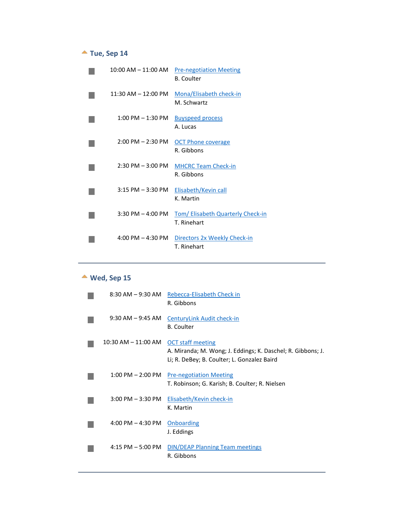# **Tue, Sep 14**

<span id="page-22-0"></span>

| $10:00$ AM $- 11:00$ AM             | <b>Pre-negotiation Meeting</b><br>B. Coulter            |
|-------------------------------------|---------------------------------------------------------|
| $11:30$ AM $- 12:00$ PM             | Mona/Elisabeth check-in<br>M. Schwartz                  |
| $1:00$ PM $-1:30$ PM                | <b>Buyspeed process</b><br>A. Lucas                     |
| $2:00 \text{ PM} - 2:30 \text{ PM}$ | <b>OCT Phone coverage</b><br>R. Gibbons                 |
| $2:30$ PM $-3:00$ PM                | <b>MHCRC Team Check-in</b><br>R. Gibbons                |
| $3:15$ PM $-3:30$ PM                | Elisabeth/Kevin call<br>K. Martin                       |
| $3:30$ PM $-4:00$ PM                | <b>Tom/ Elisabeth Quarterly Check-in</b><br>T. Rinehart |
| $4:00 \text{ PM} - 4:30 \text{ PM}$ | Directors 2x Weekly Check-in<br>T. Rinehart             |

# **Wed, Sep 15**

<span id="page-22-1"></span>

| $8:30$ AM $-9:30$ AM  | Rebecca-Elisabeth Check in<br>R. Gibbons                                                                                               |
|-----------------------|----------------------------------------------------------------------------------------------------------------------------------------|
| $9:30$ AM $-9:45$ AM  | <b>CenturyLink Audit check-in</b><br><b>B.</b> Coulter                                                                                 |
| 10:30 AM – 11:00 AM   | <b>OCT staff meeting</b><br>A. Miranda; M. Wong; J. Eddings; K. Daschel; R. Gibbons; J.<br>Li; R. DeBey; B. Coulter; L. Gonzalez Baird |
| $1:00$ PM $- 2:00$ PM | <b>Pre-negotiation Meeting</b><br>T. Robinson; G. Karish; B. Coulter; R. Nielsen                                                       |
| $3:00$ PM $-3:30$ PM  | Elisabeth/Kevin check-in<br>K. Martin                                                                                                  |
| $4:00$ PM $- 4:30$ PM | Onboarding<br>J. Eddings                                                                                                               |
| $4:15$ PM $-5:00$ PM  | <b>DIN/DEAP Planning Team meetings</b><br>R. Gibbons                                                                                   |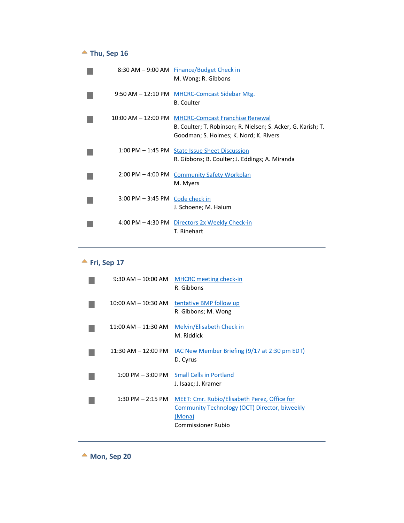# **Thu, Sep 16**

<span id="page-23-0"></span>

|                                                   | 8:30 AM - 9:00 AM Finance/Budget Check in<br>M. Wong; R. Gibbons                                                                                              |
|---------------------------------------------------|---------------------------------------------------------------------------------------------------------------------------------------------------------------|
|                                                   | 9:50 AM - 12:10 PM MHCRC-Comcast Sidebar Mtg.<br><b>B.</b> Coulter                                                                                            |
|                                                   | 10:00 AM - 12:00 PM MHCRC-Comcast Franchise Renewal<br>B. Coulter; T. Robinson; R. Nielsen; S. Acker, G. Karish; T.<br>Goodman; S. Holmes; K. Nord; K. Rivers |
|                                                   | 1:00 PM - 1:45 PM State Issue Sheet Discussion<br>R. Gibbons; B. Coulter; J. Eddings; A. Miranda                                                              |
| $2:00 \text{ PM} - 4:00 \text{ PM}$               | <b>Community Safety Workplan</b><br>M. Myers                                                                                                                  |
| $3:00 \text{ PM} - 3:45 \text{ PM}$ Code check in | J. Schoene; M. Haium                                                                                                                                          |
|                                                   | 4:00 PM - 4:30 PM Directors 2x Weekly Check-in<br>T. Rinehart                                                                                                 |

# **Fri, Sep 17**

<span id="page-23-1"></span>

| $9:30$ AM $- 10:00$ AM  | <b>MHCRC</b> meeting check-in<br>R. Gibbons                                                                                   |
|-------------------------|-------------------------------------------------------------------------------------------------------------------------------|
| $10:00$ AM $- 10:30$ AM | tentative BMP follow up<br>R. Gibbons; M. Wong                                                                                |
| $11:00$ AM $- 11:30$ AM | Melvin/Elisabeth Check in<br>M. Riddick                                                                                       |
| $11:30$ AM $-12:00$ PM  | <b>IAC New Member Briefing (9/17 at 2:30 pm EDT)</b><br>D. Cyrus                                                              |
| $1:00$ PM $-3:00$ PM    | <b>Small Cells in Portland</b><br>J. Isaac; J. Kramer                                                                         |
| $1:30$ PM $- 2:15$ PM   | MEET: Cmr. Rubio/Elisabeth Perez, Office for<br>Community Technology (OCT) Director, biweekly<br>(Mona)<br>Commissioner Rubio |

**Mon, Sep 20**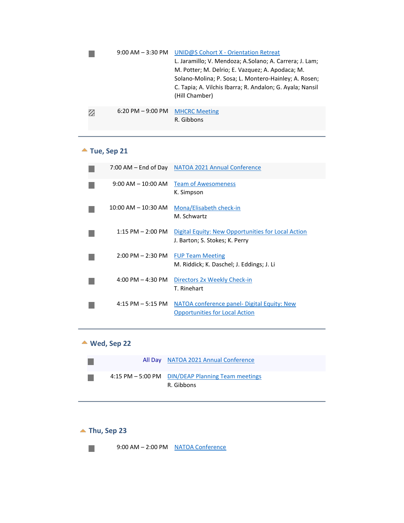|   | $9:00$ AM $-3:30$ PM                | UNID@S Cohort X - Orientation Retreat<br>L. Jaramillo; V. Mendoza; A.Solano; A. Carrera; J. Lam;<br>M. Potter; M. Delrio; E. Vazquez; A. Apodaca; M.<br>Solano-Molina; P. Sosa; L. Montero-Hainley; A. Rosen;<br>C. Tapia; A. Vilchis Ibarra; R. Andalon; G. Ayala; Nansil<br>(Hill Chamber) |
|---|-------------------------------------|----------------------------------------------------------------------------------------------------------------------------------------------------------------------------------------------------------------------------------------------------------------------------------------------|
| Ø | $6:20 \text{ PM} - 9:00 \text{ PM}$ | <b>MHCRC Meeting</b><br>R. Gibbons                                                                                                                                                                                                                                                           |

# **Tue, Sep 21**

<span id="page-24-0"></span>

|                                     | 7:00 AM - End of Day NATOA 2021 Annual Conference                                    |
|-------------------------------------|--------------------------------------------------------------------------------------|
| $9:00$ AM $-10:00$ AM               | <b>Team of Awesomeness</b><br>K. Simpson                                             |
| $10:00$ AM $- 10:30$ AM             | Mona/Elisabeth check-in<br>M. Schwartz                                               |
| $1:15$ PM $- 2:00$ PM               | Digital Equity: New Opportunities for Local Action<br>J. Barton; S. Stokes; K. Perry |
| $2:00 \text{ PM} - 2:30 \text{ PM}$ | <b>FUP Team Meeting</b><br>M. Riddick; K. Daschel; J. Eddings; J. Li                 |
| $4:00 \text{ PM} - 4:30 \text{ PM}$ | Directors 2x Weekly Check-in<br>T. Rinehart                                          |
| $4:15$ PM $-5:15$ PM                | NATOA conference panel- Digital Equity: New<br><b>Opportunities for Local Action</b> |

# <span id="page-24-1"></span>**Wed, Sep 22**

|  | All Day NATOA 2021 Annual Conference                            |
|--|-----------------------------------------------------------------|
|  | 4:15 PM - 5:00 PM DIN/DEAP Planning Team meetings<br>R. Gibbons |

# ▲ Thu, Sep 23



<span id="page-24-2"></span>9:00 AM - 2:00 PM NATOA Conference